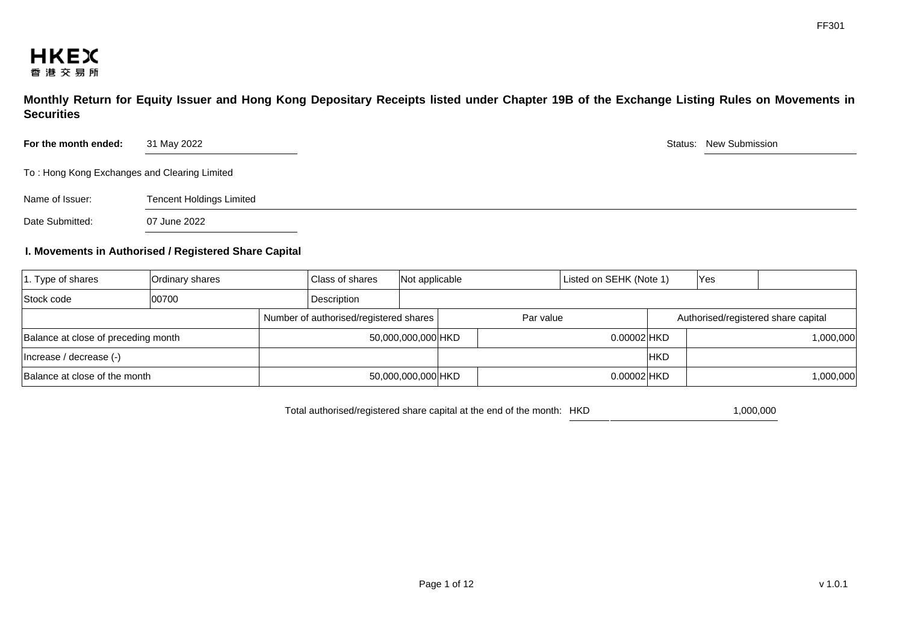

**Monthly Return for Equity Issuer and Hong Kong Depositary Receipts listed under Chapter 19B of the Exchange Listing Rules on Movements in Securities** 

| For the month ended:                         | 31 May 2022                     | Status: New Submission |
|----------------------------------------------|---------------------------------|------------------------|
| To: Hong Kong Exchanges and Clearing Limited |                                 |                        |
| Name of Issuer:                              | <b>Tencent Holdings Limited</b> |                        |
| Date Submitted:                              | 07 June 2022                    |                        |

## **I. Movements in Authorised / Registered Share Capital**

| $ 1.$ Type of shares                | Ordinary shares |  | Class of shares                        | Not applicable     |  |           | Listed on SEHK (Note 1) |            | Yes |                                     |
|-------------------------------------|-----------------|--|----------------------------------------|--------------------|--|-----------|-------------------------|------------|-----|-------------------------------------|
| Stock code                          | 00700           |  | Description                            |                    |  |           |                         |            |     |                                     |
|                                     |                 |  | Number of authorised/registered shares |                    |  | Par value |                         |            |     | Authorised/registered share capital |
| Balance at close of preceding month |                 |  |                                        | 50,000,000,000 HKD |  |           | 0.00002 HKD             |            |     | 1,000,000                           |
| Increase / decrease (-)             |                 |  |                                        |                    |  |           |                         | <b>HKD</b> |     |                                     |
| Balance at close of the month       |                 |  |                                        | 50,000,000,000 HKD |  |           | $0.00002$ HKD           |            |     | 1,000,000                           |

Total authorised/registered share capital at the end of the month: HKD 1,000,000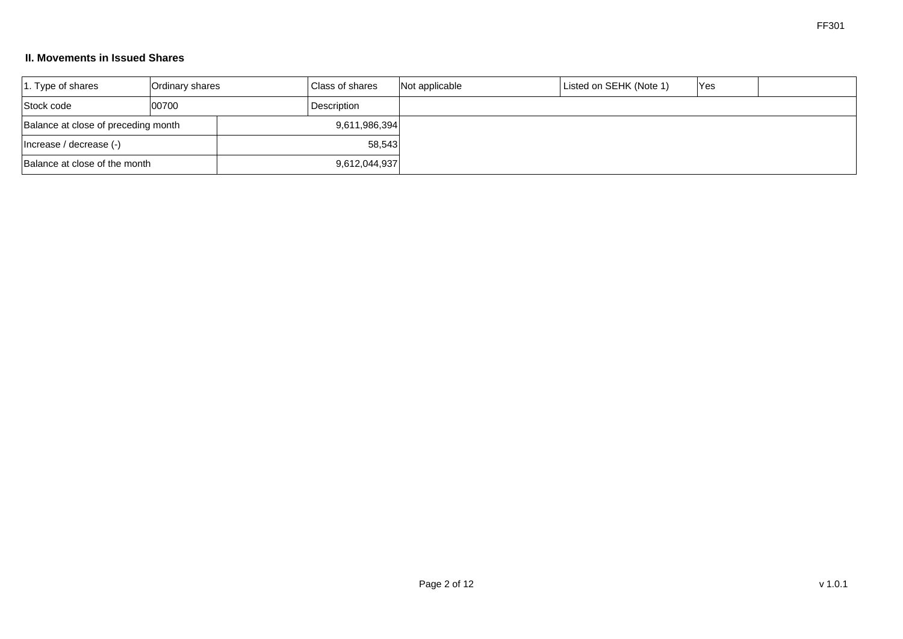# **II. Movements in Issued Shares**

| $ 1.$ Type of shares                | Ordinary shares | <b>Class of shares</b> |             | Not applicable | Listed on SEHK (Note 1) | <b>Yes</b> |  |
|-------------------------------------|-----------------|------------------------|-------------|----------------|-------------------------|------------|--|
| Stock code                          | 00700           |                        | Description |                |                         |            |  |
| Balance at close of preceding month |                 | 9,611,986,394          |             |                |                         |            |  |
| (-) Increase / decrease (-)         |                 | 58,543                 |             |                |                         |            |  |
| Balance at close of the month       |                 | 9,612,044,937          |             |                |                         |            |  |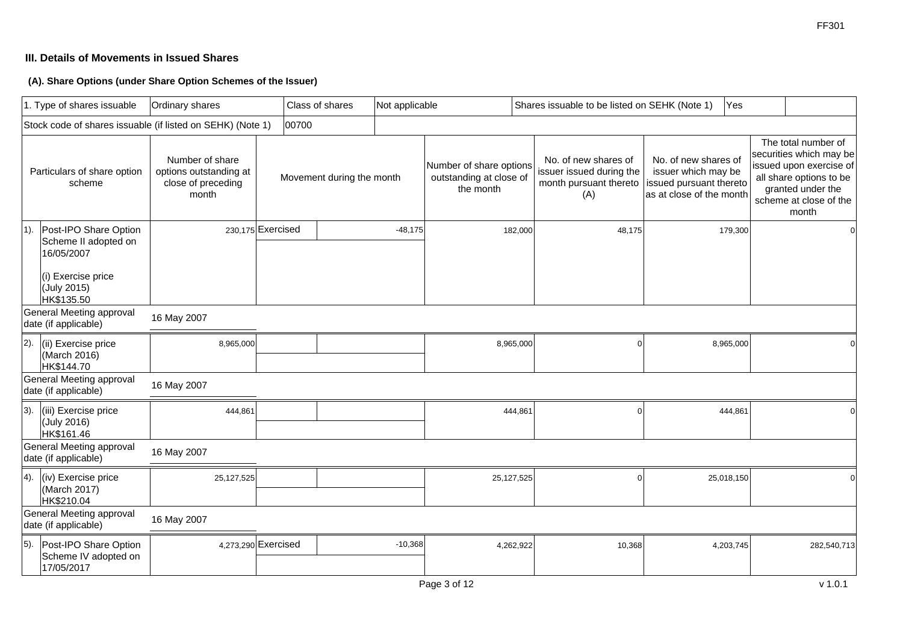# **III. Details of Movements in Issued Shares**

**(A). Share Options (under Share Option Schemes of the Issuer)**

|        | 1. Type of shares issuable                                                                                     | Ordinary shares                                                          |                     | Class of shares           | Not applicable |                                                                 |            | Shares issuable to be listed on SEHK (Note 1)                                     |                                                                                                    | Yes       |                                                                                                                                                              |          |
|--------|----------------------------------------------------------------------------------------------------------------|--------------------------------------------------------------------------|---------------------|---------------------------|----------------|-----------------------------------------------------------------|------------|-----------------------------------------------------------------------------------|----------------------------------------------------------------------------------------------------|-----------|--------------------------------------------------------------------------------------------------------------------------------------------------------------|----------|
|        | Stock code of shares issuable (if listed on SEHK) (Note 1)                                                     |                                                                          | 00700               |                           |                |                                                                 |            |                                                                                   |                                                                                                    |           |                                                                                                                                                              |          |
|        | Particulars of share option<br>scheme                                                                          | Number of share<br>options outstanding at<br>close of preceding<br>month |                     | Movement during the month |                | Number of share options<br>outstanding at close of<br>the month |            | No. of new shares of<br>issuer issued during the<br>month pursuant thereto<br>(A) | No. of new shares of<br>issuer which may be<br>issued pursuant thereto<br>as at close of the month |           | The total number of<br>securities which may be<br>issued upon exercise of<br>all share options to be<br>granted under the<br>scheme at close of the<br>month |          |
| $1$ ). | Post-IPO Share Option<br>Scheme II adopted on<br>16/05/2007<br>(i) Exercise price<br>(July 2015)<br>HK\$135.50 |                                                                          | 230,175 Exercised   |                           | $-48,175$      |                                                                 | 182,000    | 48,175                                                                            |                                                                                                    | 179,300   |                                                                                                                                                              | $\Omega$ |
|        | General Meeting approval<br>date (if applicable)                                                               | 16 May 2007                                                              |                     |                           |                |                                                                 |            |                                                                                   |                                                                                                    |           |                                                                                                                                                              |          |
| 2).    | (ii) Exercise price<br>(March 2016)<br>HK\$144.70                                                              | 8,965,000                                                                |                     |                           |                |                                                                 | 8,965,000  | $\Omega$                                                                          |                                                                                                    | 8,965,000 |                                                                                                                                                              |          |
|        | General Meeting approval<br>date (if applicable)                                                               | 16 May 2007                                                              |                     |                           |                |                                                                 |            |                                                                                   |                                                                                                    |           |                                                                                                                                                              |          |
| 3).    | (iii) Exercise price<br>(July 2016)<br>HK\$161.46                                                              | 444,861                                                                  |                     |                           |                |                                                                 | 444,861    | $\Omega$                                                                          |                                                                                                    | 444,861   |                                                                                                                                                              |          |
|        | General Meeting approval<br>date (if applicable)                                                               | 16 May 2007                                                              |                     |                           |                |                                                                 |            |                                                                                   |                                                                                                    |           |                                                                                                                                                              |          |
| 4).    | (iv) Exercise price<br>(March 2017)<br>HK\$210.04                                                              | 25,127,525                                                               |                     |                           |                |                                                                 | 25,127,525 | $\Omega$                                                                          | 25,018,150                                                                                         |           |                                                                                                                                                              | $\Omega$ |
|        | General Meeting approval<br>date (if applicable)                                                               | 16 May 2007                                                              |                     |                           |                |                                                                 |            |                                                                                   |                                                                                                    |           |                                                                                                                                                              |          |
| 5).    | Post-IPO Share Option<br>Scheme IV adopted on<br>17/05/2017                                                    |                                                                          | 4,273,290 Exercised |                           | $-10,368$      |                                                                 | 4,262,922  | 10,368                                                                            |                                                                                                    | 4,203,745 | 282,540,713                                                                                                                                                  |          |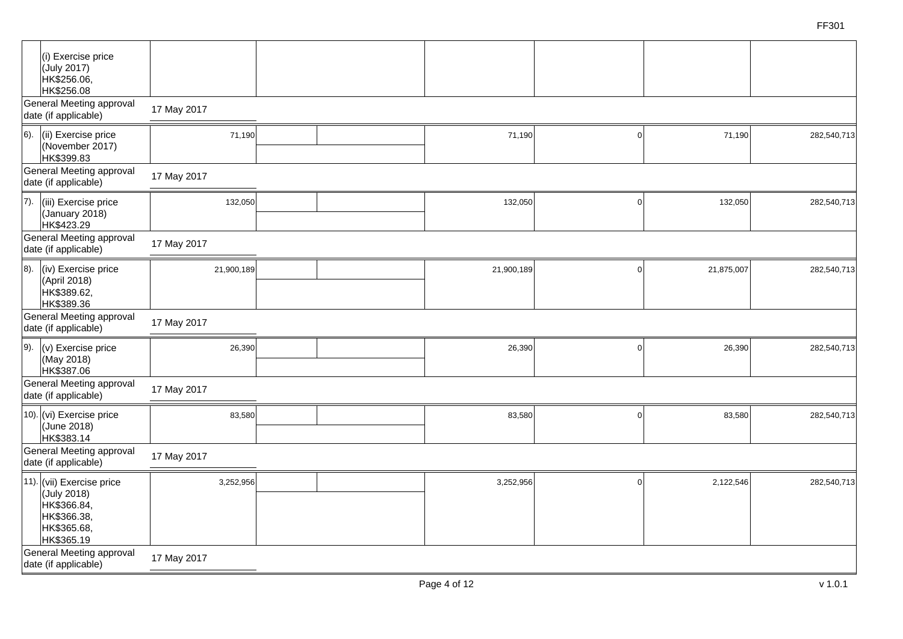| (i) Exercise price<br>(July 2017)<br>HK\$256.06,<br>HK\$256.08                                      |             |            |          |            |             |
|-----------------------------------------------------------------------------------------------------|-------------|------------|----------|------------|-------------|
| General Meeting approval<br>date (if applicable)                                                    | 17 May 2017 |            |          |            |             |
| 6).<br>(ii) Exercise price<br>(November 2017)<br>HK\$399.83                                         | 71,190      | 71,190     |          | 71,190     | 282,540,713 |
| General Meeting approval<br>date (if applicable)                                                    | 17 May 2017 |            |          |            |             |
| 7).<br>(iii) Exercise price<br>(January 2018)<br>HK\$423.29                                         | 132,050     | 132,050    | $\Omega$ | 132,050    | 282,540,713 |
| General Meeting approval<br>date (if applicable)                                                    | 17 May 2017 |            |          |            |             |
| 8).<br>(iv) Exercise price<br>(April 2018)<br>HK\$389.62,<br>HK\$389.36                             | 21,900,189  | 21,900,189 | $\Omega$ | 21,875,007 | 282,540,713 |
| General Meeting approval<br>date (if applicable)                                                    | 17 May 2017 |            |          |            |             |
| 9).<br>(v) Exercise price<br>(May 2018)<br>HK\$387.06                                               | 26,390      | 26,390     | O        | 26,390     | 282,540,713 |
| General Meeting approval<br>date (if applicable)                                                    | 17 May 2017 |            |          |            |             |
| 10). $(vi)$ Exercise price<br>(June 2018)<br>HK\$383.14                                             | 83,580      | 83,580     | $\Omega$ | 83,580     | 282,540,713 |
| General Meeting approval<br>date (if applicable)                                                    | 17 May 2017 |            |          |            |             |
| 11). (vii) Exercise price<br>(July 2018)<br>HK\$366.84,<br>HK\$366.38,<br>HK\$365.68,<br>HK\$365.19 | 3,252,956   | 3,252,956  | $\Omega$ | 2,122,546  | 282,540,713 |
| General Meeting approval<br>date (if applicable)                                                    | 17 May 2017 |            |          |            |             |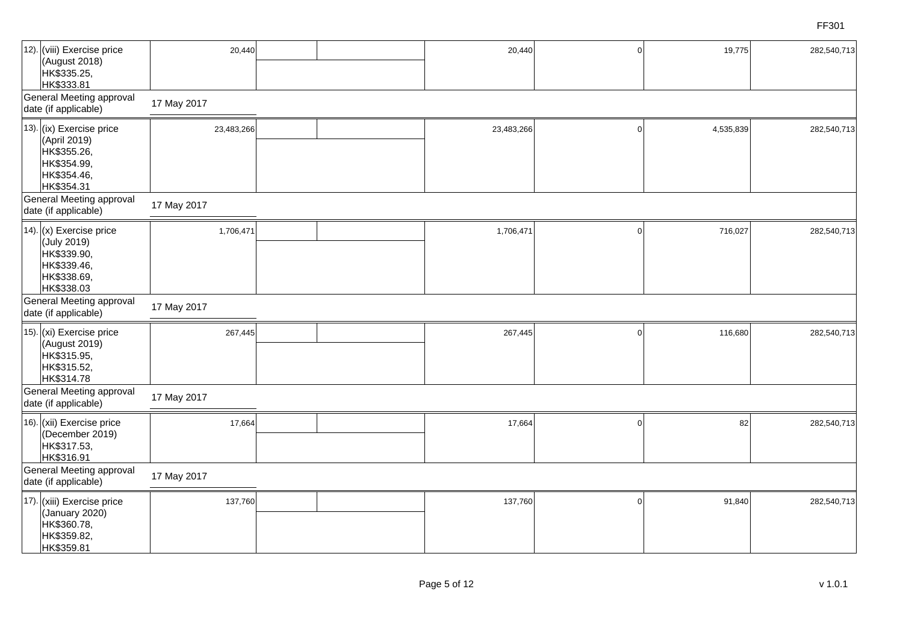| 12). (viii) Exercise price<br>(August 2018)<br>HK\$335.25,<br>HK\$333.81<br><b>General Meeting approval</b><br>date (if applicable) | 20,440<br>17 May 2017 | 20,440     | $\Omega$ | 19,775    | 282,540,713 |
|-------------------------------------------------------------------------------------------------------------------------------------|-----------------------|------------|----------|-----------|-------------|
| 13). (ix) Exercise price<br>(April 2019)<br>HK\$355.26,<br>HK\$354.99,<br>HK\$354.46,<br>HK\$354.31                                 | 23,483,266            | 23,483,266 | $\Omega$ | 4,535,839 | 282,540,713 |
| <b>General Meeting approval</b><br>date (if applicable)                                                                             | 17 May 2017           |            |          |           |             |
| 14). (x) Exercise price<br>(July 2019)<br>HK\$339.90,<br>HK\$339.46,<br>HK\$338.69,<br>HK\$338.03                                   | 1,706,471             | 1,706,471  | $\cap$   | 716,027   | 282,540,713 |
| <b>General Meeting approval</b><br>date (if applicable)                                                                             | 17 May 2017           |            |          |           |             |
| 15). (xi) Exercise price<br>(August 2019)<br>HK\$315.95,<br>HK\$315.52,<br>HK\$314.78                                               | 267,445               | 267,445    | $\Omega$ | 116,680   | 282,540,713 |
| <b>General Meeting approval</b><br>date (if applicable)                                                                             | 17 May 2017           |            |          |           |             |
| 16). (xii) Exercise price<br>(December 2019)<br>HK\$317.53,<br>HK\$316.91                                                           | 17,664                | 17,664     |          | 82        | 282,540,713 |
| General Meeting approval<br>date (if applicable)                                                                                    | 17 May 2017           |            |          |           |             |
| 17). (xiii) Exercise price<br>(January 2020)<br>HK\$360.78,<br>HK\$359.82,<br>HK\$359.81                                            | 137,760               | 137,760    |          | 91,840    | 282,540,713 |

FF301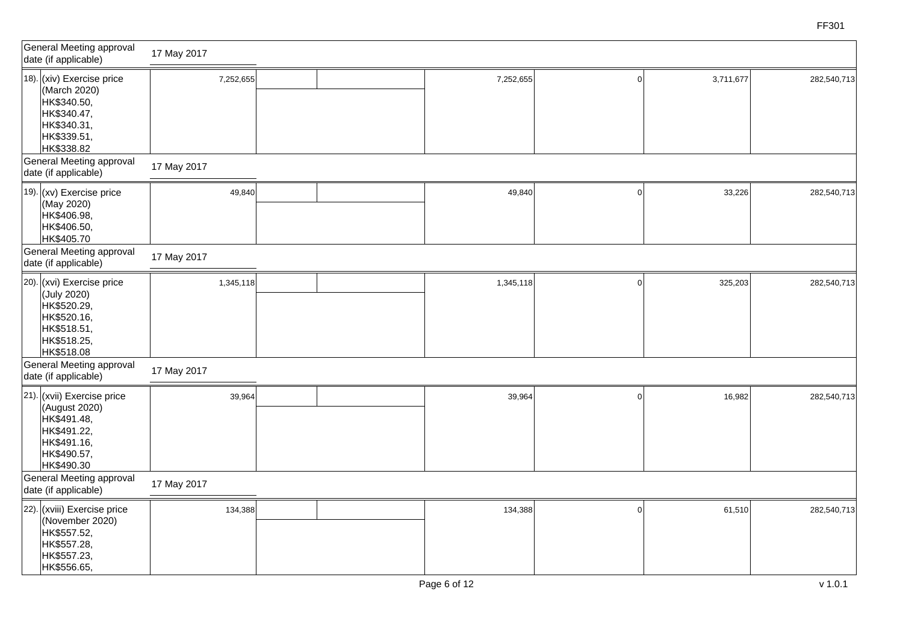| General Meeting approval<br>date (if applicable)                                                                                                | 17 May 2017              |  |           |             |           |             |
|-------------------------------------------------------------------------------------------------------------------------------------------------|--------------------------|--|-----------|-------------|-----------|-------------|
| 18). (xiv) Exercise price<br>(March 2020)<br>HK\$340.50,<br>HK\$340.47,<br>HK\$340.31,<br>HK\$339.51,<br>HK\$338.82<br>General Meeting approval | 7,252,655<br>17 May 2017 |  | 7,252,655 | $\Omega$    | 3,711,677 | 282,540,713 |
| date (if applicable)                                                                                                                            |                          |  |           |             |           |             |
| $ 19\rangle$ . (xv) Exercise price<br>(May 2020)<br>HK\$406.98,<br>HK\$406.50,<br>HK\$405.70                                                    | 49,840                   |  | 49,840    | $\Omega$    | 33,226    | 282,540,713 |
| General Meeting approval<br>date (if applicable)                                                                                                | 17 May 2017              |  |           |             |           |             |
| 20). (xvi) Exercise price<br>(July 2020)<br>HK\$520.29,<br>HK\$520.16,<br>HK\$518.51,<br>HK\$518.25,<br>HK\$518.08                              | 1,345,118                |  | 1,345,118 | $\mathbf 0$ | 325,203   | 282,540,713 |
| General Meeting approval<br>date (if applicable)                                                                                                | 17 May 2017              |  |           |             |           |             |
| 21). (xvii) Exercise price<br>(August 2020)<br>HK\$491.48,<br>HK\$491.22,<br>HK\$491.16,<br>HK\$490.57,<br>HK\$490.30                           | 39,964                   |  | 39,964    | $\Omega$    | 16,982    | 282,540,713 |
| General Meeting approval<br>date (if applicable)                                                                                                | 17 May 2017              |  |           |             |           |             |
| 22). (xviii) Exercise price<br>(November 2020)<br>HK\$557.52,<br>HK\$557.28,<br>HK\$557.23,<br>HK\$556.65,                                      | 134,388                  |  | 134,388   | $\mathbf 0$ | 61,510    | 282,540,713 |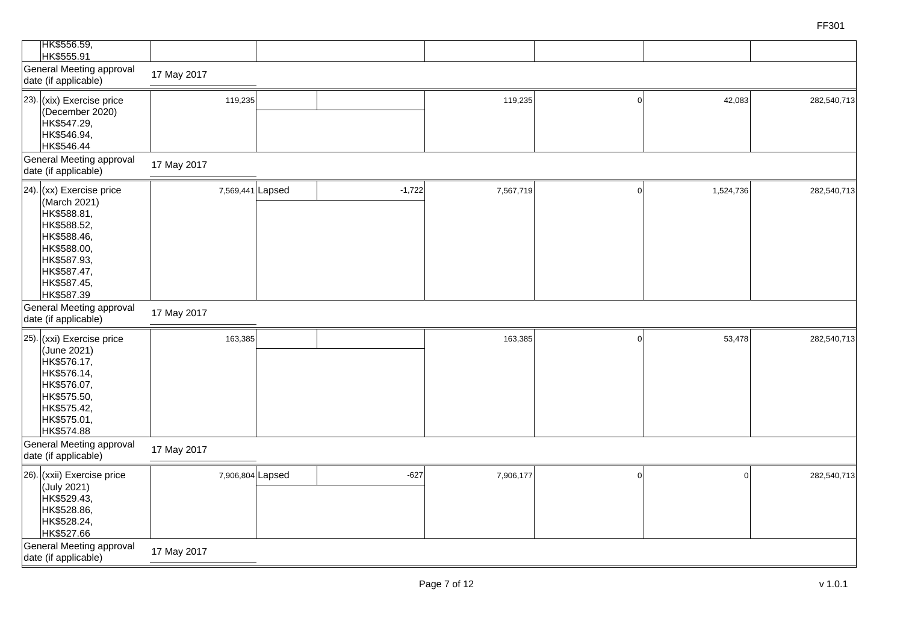| HK\$556.59,<br>HK\$555.91                                                                                                                                         |                        |          |           |   |           |             |
|-------------------------------------------------------------------------------------------------------------------------------------------------------------------|------------------------|----------|-----------|---|-----------|-------------|
| General Meeting approval<br>date (if applicable)                                                                                                                  | 17 May 2017            |          |           |   |           |             |
| 23). $(xix)$ Exercise price<br>(December 2020)<br>HK\$547.29,<br>HK\$546.94,<br>HK\$546.44<br>General Meeting approval<br>date (if applicable)                    | 119,235<br>17 May 2017 |          | 119,235   | O | 42,083    | 282,540,713 |
| 24). $(xx)$ Exercise price<br>(March 2021)<br>HK\$588.81,<br>HK\$588.52,<br>HK\$588.46,<br>HK\$588.00,<br>HK\$587.93,<br>HK\$587.47,<br>HK\$587.45,<br>HK\$587.39 | 7,569,441 Lapsed       | $-1,722$ | 7,567,719 |   | 1,524,736 | 282,540,713 |
| General Meeting approval<br>date (if applicable)                                                                                                                  | 17 May 2017            |          |           |   |           |             |
| 25). $(xxi)$ Exercise price<br>(June 2021)<br>HK\$576.17,<br>HK\$576.14,<br>HK\$576.07,<br>HK\$575.50,<br>HK\$575.42,<br>HK\$575.01,<br>HK\$574.88                | 163,385                |          | 163,385   |   | 53,478    | 282,540,713 |
| General Meeting approval<br>date (if applicable)                                                                                                                  | 17 May 2017            |          |           |   |           |             |
| 26). (xxii) Exercise price<br>(July 2021)<br>HK\$529.43,<br>HK\$528.86,<br>HK\$528.24,<br>HK\$527.66                                                              | 7,906,804 Lapsed       | $-627$   | 7,906,177 |   |           | 282,540,713 |
| General Meeting approval<br>date (if applicable)                                                                                                                  | 17 May 2017            |          |           |   |           |             |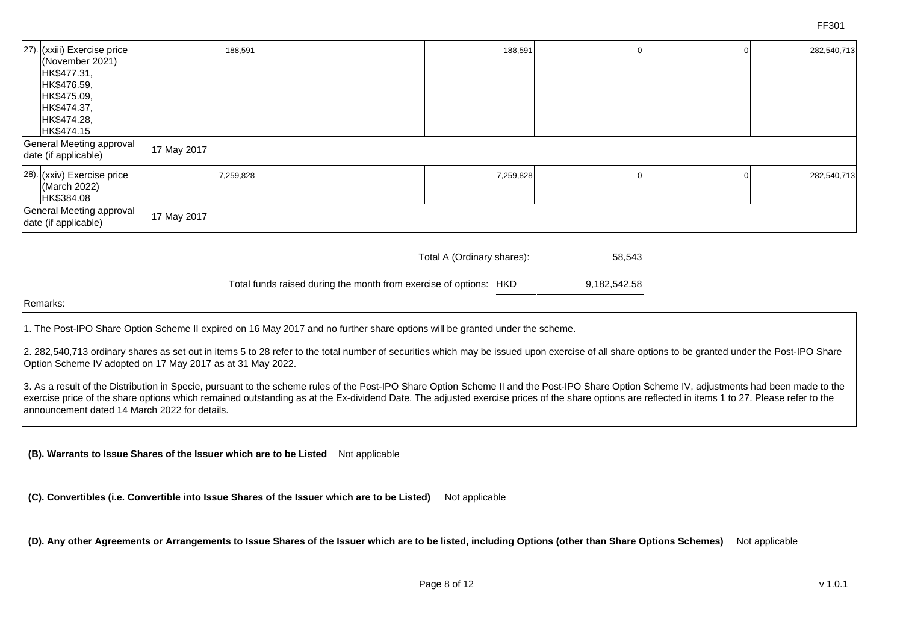| [27). (xxiii) Exercise price                     | 188,591                                                                                                                                          |                            |           | 188,591 |           | 282,540,713 |
|--------------------------------------------------|--------------------------------------------------------------------------------------------------------------------------------------------------|----------------------------|-----------|---------|-----------|-------------|
| (November 2021)                                  |                                                                                                                                                  |                            |           |         |           |             |
|                                                  |                                                                                                                                                  |                            |           |         |           |             |
|                                                  |                                                                                                                                                  |                            |           |         |           |             |
|                                                  |                                                                                                                                                  |                            |           |         |           |             |
|                                                  |                                                                                                                                                  |                            |           |         |           |             |
| HK\$474.15                                       |                                                                                                                                                  |                            |           |         |           |             |
| General Meeting approval<br>date (if applicable) |                                                                                                                                                  |                            |           |         |           |             |
|                                                  |                                                                                                                                                  |                            |           |         |           | 282,540,713 |
| (March 2022)                                     |                                                                                                                                                  |                            |           |         |           |             |
|                                                  |                                                                                                                                                  |                            |           |         |           |             |
| date (if applicable)                             |                                                                                                                                                  |                            |           |         |           |             |
|                                                  | HK\$477.31,<br> HK\$476.59,<br>HK\$475.09,<br>HK\$474.37,<br>HK\$474.28,<br>28). (xxiv) Exercise price<br>HK\$384.08<br>General Meeting approval | 17 May 2017<br>17 May 2017 | 7,259,828 |         | 7,259,828 |             |

| Total A (Ordinary shares): | 58,543 |
|----------------------------|--------|
|                            |        |

Total funds raised during the month from exercise of options: HKD 9,182,542.58

#### Remarks:

1. The Post-IPO Share Option Scheme II expired on 16 May 2017 and no further share options will be granted under the scheme.

2. 282,540,713 ordinary shares as set out in items 5 to 28 refer to the total number of securities which may be issued upon exercise of all share options to be granted under the Post-IPO Share Option Scheme IV adopted on 17 May 2017 as at 31 May 2022.

3. As a result of the Distribution in Specie, pursuant to the scheme rules of the Post-IPO Share Option Scheme II and the Post-IPO Share Option Scheme IV, adjustments had been made to the exercise price of the share options which remained outstanding as at the Ex-dividend Date. The adjusted exercise prices of the share options are reflected in items 1 to 27. Please refer to the announcement dated 14 March 2022 for details.

**(B). Warrants to Issue Shares of the Issuer which are to be Listed** Not applicable

**(C). Convertibles (i.e. Convertible into Issue Shares of the Issuer which are to be Listed)** Not applicable

**(D). Any other Agreements or Arrangements to Issue Shares of the Issuer which are to be listed, including Options (other than Share Options Schemes)** Not applicable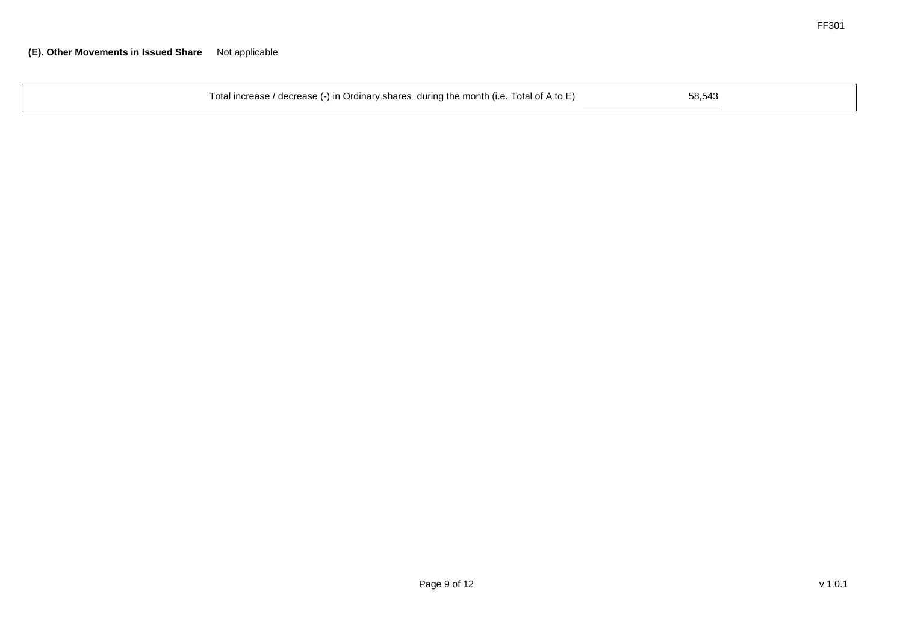| 58.543<br>Total increase / decrease (-) in Ordinary shares during the month (i.e. Total of A to E) |  |
|----------------------------------------------------------------------------------------------------|--|
|----------------------------------------------------------------------------------------------------|--|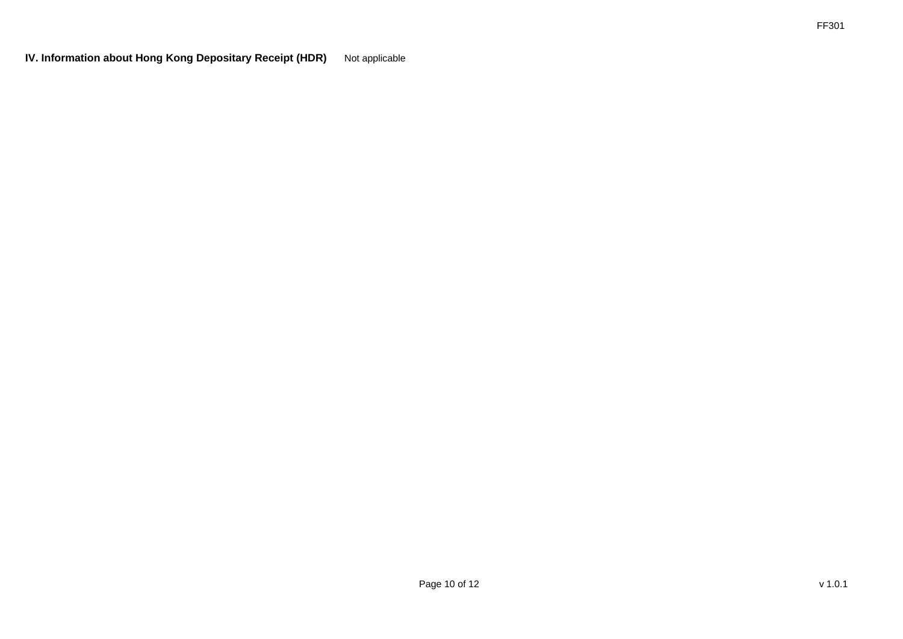**IV. Information about Hong Kong Depositary Receipt (HDR)** Not applicable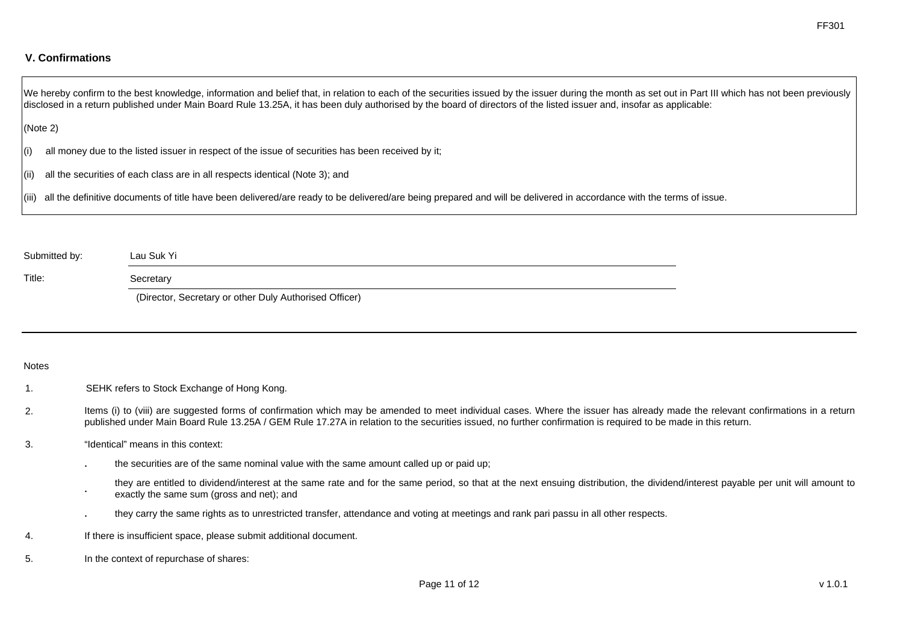### **V. Confirmations**

We hereby confirm to the best knowledge, information and belief that, in relation to each of the securities issued by the issuer during the month as set out in Part III which has not been previously disclosed in a return published under Main Board Rule 13.25A, it has been duly authorised by the board of directors of the listed issuer and, insofar as applicable:

#### (Note 2)

(i) all money due to the listed issuer in respect of the issue of securities has been received by it;

(ii) all the securities of each class are in all respects identical (Note 3); and

(iii) all the definitive documents of title have been delivered/are ready to be delivered/are being prepared and will be delivered in accordance with the terms of issue.

| Submitted by: | Lau Suk Yi                                                                                                         |
|---------------|--------------------------------------------------------------------------------------------------------------------|
| Title:        | Secretary                                                                                                          |
|               | $\sqrt{m}$ . $\sqrt{m}$ . $\sqrt{m}$ . $\sqrt{m}$ . $\sqrt{m}$ . $\sqrt{m}$ . $\sqrt{m}$ . $\sqrt{m}$ . $\sqrt{m}$ |

(Director, Secretary or other Duly Authorised Officer)

#### Notes

- 1. SEHK refers to Stock Exchange of Hong Kong.
- 2. Items (i) to (viii) are suggested forms of confirmation which may be amended to meet individual cases. Where the issuer has already made the relevant confirmations in a return published under Main Board Rule 13.25A / GEM Rule 17.27A in relation to the securities issued, no further confirmation is required to be made in this return.
- 3. "Identical" means in this context:
	- . the securities are of the same nominal value with the same amount called up or paid up;
	- . they are entitled to dividend/interest at the same rate and for the same period, so that at the next ensuing distribution, the dividend/interest payable per unit will amount to exactly the same sum (gross and net); and
	- . they carry the same rights as to unrestricted transfer, attendance and voting at meetings and rank pari passu in all other respects.
- 4. If there is insufficient space, please submit additional document.
- 5. In the context of repurchase of shares: